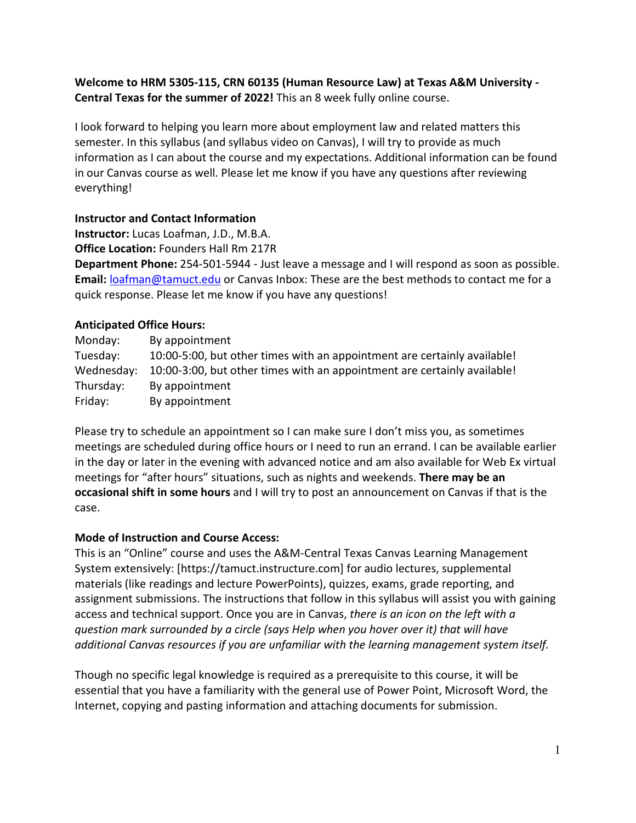# **Welcome to HRM 5305-115, CRN 60135 (Human Resource Law) at Texas A&M University - Central Texas for the summer of 2022!** This an 8 week fully online course.

I look forward to helping you learn more about employment law and related matters this semester. In this syllabus (and syllabus video on Canvas), I will try to provide as much information as I can about the course and my expectations. Additional information can be found in our Canvas course as well. Please let me know if you have any questions after reviewing everything!

# **Instructor and Contact Information**

**Instructor:** Lucas Loafman, J.D., M.B.A. **Office Location:** Founders Hall Rm 217R

**Department Phone:** 254-501-5944 - Just leave a message and I will respond as soon as possible. **Email:** [loafman@tamuct.edu](mailto:loafman@tamuct.edu) or Canvas Inbox: These are the best methods to contact me for a quick response. Please let me know if you have any questions!

# **Anticipated Office Hours:**

| Monday:    | By appointment                                                           |
|------------|--------------------------------------------------------------------------|
| Tuesday:   | 10:00-5:00, but other times with an appointment are certainly available! |
| Wednesday: | 10:00-3:00, but other times with an appointment are certainly available! |
| Thursday:  | By appointment                                                           |
| Friday:    | By appointment                                                           |

Please try to schedule an appointment so I can make sure I don't miss you, as sometimes meetings are scheduled during office hours or I need to run an errand. I can be available earlier in the day or later in the evening with advanced notice and am also available for Web Ex virtual meetings for "after hours" situations, such as nights and weekends. **There may be an occasional shift in some hours** and I will try to post an announcement on Canvas if that is the case.

# **Mode of Instruction and Course Access:**

This is an "Online" course and uses the A&M-Central Texas Canvas Learning Management System extensively: [https://tamuct.instructure.com] for audio lectures, supplemental materials (like readings and lecture PowerPoints), quizzes, exams, grade reporting, and assignment submissions. The instructions that follow in this syllabus will assist you with gaining access and technical support. Once you are in Canvas, *there is an icon on the left with a question mark surrounded by a circle (says Help when you hover over it) that will have additional Canvas resources if you are unfamiliar with the learning management system itself.*

Though no specific legal knowledge is required as a prerequisite to this course, it will be essential that you have a familiarity with the general use of Power Point, Microsoft Word, the Internet, copying and pasting information and attaching documents for submission.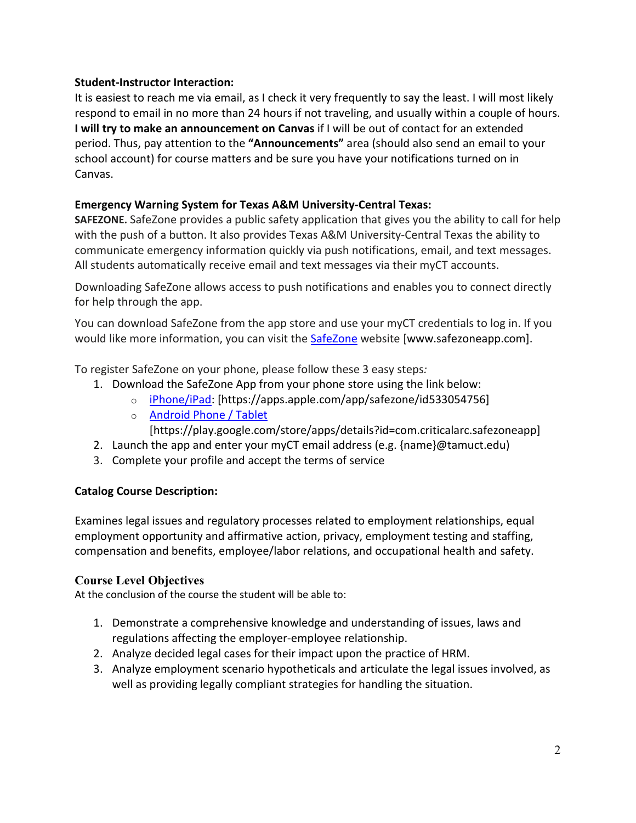## **Student-Instructor Interaction:**

It is easiest to reach me via email, as I check it very frequently to say the least. I will most likely respond to email in no more than 24 hours if not traveling, and usually within a couple of hours. **I will try to make an announcement on Canvas** if I will be out of contact for an extended period. Thus, pay attention to the **"Announcements"** area (should also send an email to your school account) for course matters and be sure you have your notifications turned on in Canvas.

## **Emergency Warning System for Texas A&M University-Central Texas:**

**SAFEZONE.** SafeZone provides a public safety application that gives you the ability to call for help with the push of a button. It also provides Texas A&M University-Central Texas the ability to communicate emergency information quickly via push notifications, email, and text messages. All students automatically receive email and text messages via their myCT accounts.

Downloading SafeZone allows access to push notifications and enables you to connect directly for help through the app.

You can download SafeZone from the app store and use your myCT credentials to log in. If you would like more information, you can visit the [SafeZone](http://www.safezoneapp.com/) website [www.safezoneapp.com].

To register SafeZone on your phone, please follow these 3 easy steps*:*

- 1. Download the SafeZone App from your phone store using the link below:
	- o [iPhone/iPad:](https://apps.apple.com/app/safezone/id533054756) [https://apps.apple.com/app/safezone/id533054756]
		- o [Android Phone / Tablet](https://play.google.com/store/apps/details?id=com.criticalarc.safezoneapp)
			- [https://play.google.com/store/apps/details?id=com.criticalarc.safezoneapp]
- 2. Launch the app and enter your myCT email address (e.g. {name}@tamuct.edu)
- 3. Complete your profile and accept the terms of service

# **Catalog Course Description:**

Examines legal issues and regulatory processes related to employment relationships, equal employment opportunity and affirmative action, privacy, employment testing and staffing, compensation and benefits, employee/labor relations, and occupational health and safety.

# **Course Level Objectives**

At the conclusion of the course the student will be able to:

- 1. Demonstrate a comprehensive knowledge and understanding of issues, laws and regulations affecting the employer-employee relationship.
- 2. Analyze decided legal cases for their impact upon the practice of HRM.
- 3. Analyze employment scenario hypotheticals and articulate the legal issues involved, as well as providing legally compliant strategies for handling the situation.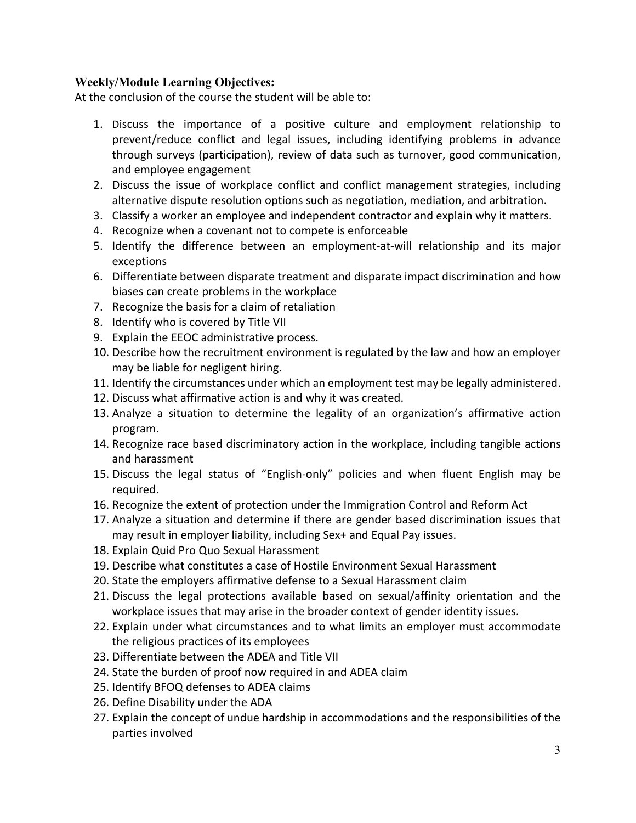#### **Weekly/Module Learning Objectives:**

At the conclusion of the course the student will be able to:

- 1. Discuss the importance of a positive culture and employment relationship to prevent/reduce conflict and legal issues, including identifying problems in advance through surveys (participation), review of data such as turnover, good communication, and employee engagement
- 2. Discuss the issue of workplace conflict and conflict management strategies, including alternative dispute resolution options such as negotiation, mediation, and arbitration.
- 3. Classify a worker an employee and independent contractor and explain why it matters.
- 4. Recognize when a covenant not to compete is enforceable
- 5. Identify the difference between an employment-at-will relationship and its major exceptions
- 6. Differentiate between disparate treatment and disparate impact discrimination and how biases can create problems in the workplace
- 7. Recognize the basis for a claim of retaliation
- 8. Identify who is covered by Title VII
- 9. Explain the EEOC administrative process.
- 10. Describe how the recruitment environment is regulated by the law and how an employer may be liable for negligent hiring.
- 11. Identify the circumstances under which an employment test may be legally administered.
- 12. Discuss what affirmative action is and why it was created.
- 13. Analyze a situation to determine the legality of an organization's affirmative action program.
- 14. Recognize race based discriminatory action in the workplace, including tangible actions and harassment
- 15. Discuss the legal status of "English-only" policies and when fluent English may be required.
- 16. Recognize the extent of protection under the Immigration Control and Reform Act
- 17. Analyze a situation and determine if there are gender based discrimination issues that may result in employer liability, including Sex+ and Equal Pay issues.
- 18. Explain Quid Pro Quo Sexual Harassment
- 19. Describe what constitutes a case of Hostile Environment Sexual Harassment
- 20. State the employers affirmative defense to a Sexual Harassment claim
- 21. Discuss the legal protections available based on sexual/affinity orientation and the workplace issues that may arise in the broader context of gender identity issues.
- 22. Explain under what circumstances and to what limits an employer must accommodate the religious practices of its employees
- 23. Differentiate between the ADEA and Title VII
- 24. State the burden of proof now required in and ADEA claim
- 25. Identify BFOQ defenses to ADEA claims
- 26. Define Disability under the ADA
- 27. Explain the concept of undue hardship in accommodations and the responsibilities of the parties involved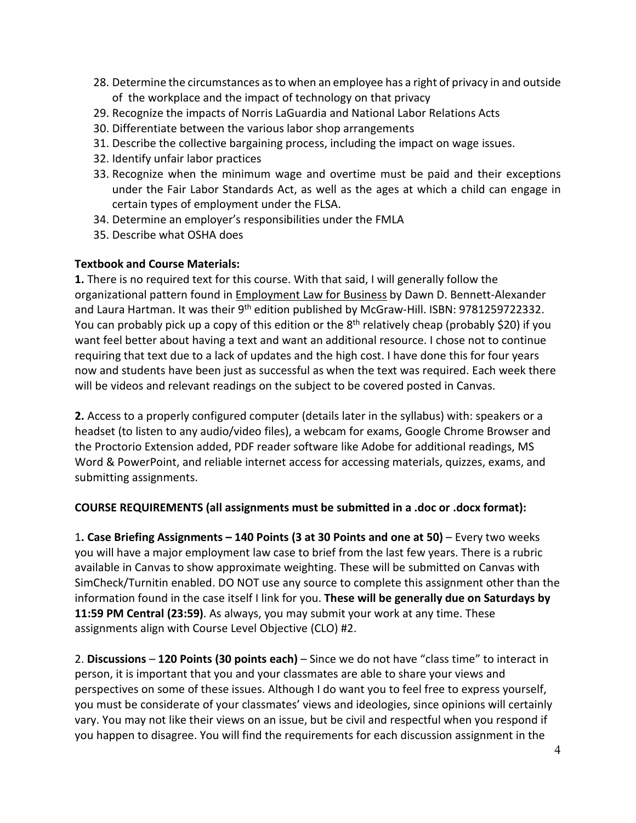- 28. Determine the circumstances as to when an employee has a right of privacy in and outside of the workplace and the impact of technology on that privacy
- 29. Recognize the impacts of Norris LaGuardia and National Labor Relations Acts
- 30. Differentiate between the various labor shop arrangements
- 31. Describe the collective bargaining process, including the impact on wage issues.
- 32. Identify unfair labor practices
- 33. Recognize when the minimum wage and overtime must be paid and their exceptions under the Fair Labor Standards Act, as well as the ages at which a child can engage in certain types of employment under the FLSA.
- 34. Determine an employer's responsibilities under the FMLA
- 35. Describe what OSHA does

# **Textbook and Course Materials:**

**1.** There is no required text for this course. With that said, I will generally follow the organizational pattern found in **Employment Law for Business** by Dawn D. Bennett-Alexander and Laura Hartman. It was their 9<sup>th</sup> edition published by McGraw-Hill. ISBN: 9781259722332. You can probably pick up a copy of this edition or the 8<sup>th</sup> relatively cheap (probably \$20) if you want feel better about having a text and want an additional resource. I chose not to continue requiring that text due to a lack of updates and the high cost. I have done this for four years now and students have been just as successful as when the text was required. Each week there will be videos and relevant readings on the subject to be covered posted in Canvas.

**2.** Access to a properly configured computer (details later in the syllabus) with: speakers or a headset (to listen to any audio/video files), a webcam for exams, Google Chrome Browser and the Proctorio Extension added, PDF reader software like Adobe for additional readings, MS Word & PowerPoint, and reliable internet access for accessing materials, quizzes, exams, and submitting assignments.

# **COURSE REQUIREMENTS (all assignments must be submitted in a .doc or .docx format):**

1**. Case Briefing Assignments – 140 Points (3 at 30 Points and one at 50)** – Every two weeks you will have a major employment law case to brief from the last few years. There is a rubric available in Canvas to show approximate weighting. These will be submitted on Canvas with SimCheck/Turnitin enabled. DO NOT use any source to complete this assignment other than the information found in the case itself I link for you. **These will be generally due on Saturdays by 11:59 PM Central (23:59)**. As always, you may submit your work at any time. These assignments align with Course Level Objective (CLO) #2.

2. **Discussions** – **120 Points (30 points each)** – Since we do not have "class time" to interact in person, it is important that you and your classmates are able to share your views and perspectives on some of these issues. Although I do want you to feel free to express yourself, you must be considerate of your classmates' views and ideologies, since opinions will certainly vary. You may not like their views on an issue, but be civil and respectful when you respond if you happen to disagree. You will find the requirements for each discussion assignment in the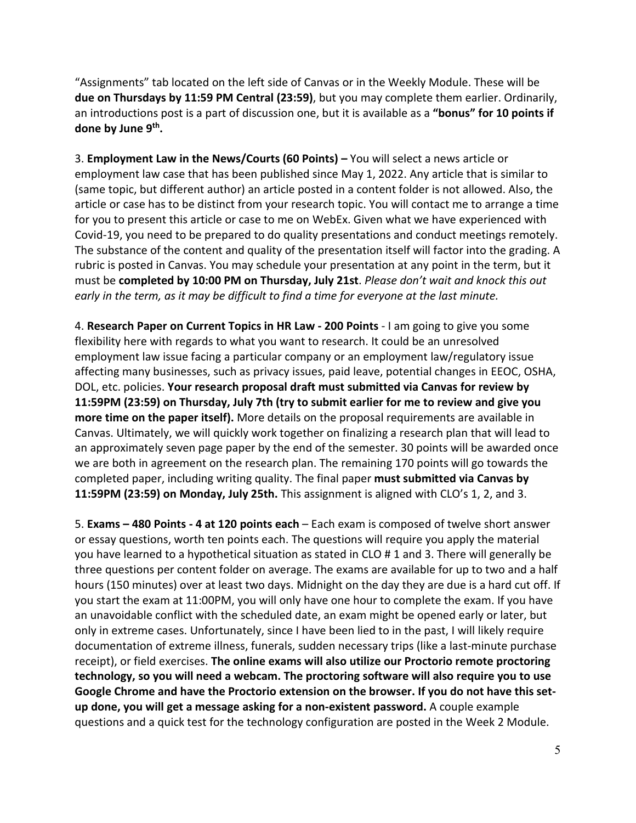"Assignments" tab located on the left side of Canvas or in the Weekly Module. These will be **due on Thursdays by 11:59 PM Central (23:59)**, but you may complete them earlier. Ordinarily, an introductions post is a part of discussion one, but it is available as a **"bonus" for 10 points if done by June 9th.**

3. **Employment Law in the News/Courts (60 Points) –** You will select a news article or employment law case that has been published since May 1, 2022. Any article that is similar to (same topic, but different author) an article posted in a content folder is not allowed. Also, the article or case has to be distinct from your research topic. You will contact me to arrange a time for you to present this article or case to me on WebEx. Given what we have experienced with Covid-19, you need to be prepared to do quality presentations and conduct meetings remotely. The substance of the content and quality of the presentation itself will factor into the grading. A rubric is posted in Canvas. You may schedule your presentation at any point in the term, but it must be **completed by 10:00 PM on Thursday, July 21st**. *Please don't wait and knock this out early in the term, as it may be difficult to find a time for everyone at the last minute.*

4. **Research Paper on Current Topics in HR Law - 200 Points** - I am going to give you some flexibility here with regards to what you want to research. It could be an unresolved employment law issue facing a particular company or an employment law/regulatory issue affecting many businesses, such as privacy issues, paid leave, potential changes in EEOC, OSHA, DOL, etc. policies. **Your research proposal draft must submitted via Canvas for review by 11:59PM (23:59) on Thursday, July 7th (try to submit earlier for me to review and give you more time on the paper itself).** More details on the proposal requirements are available in Canvas. Ultimately, we will quickly work together on finalizing a research plan that will lead to an approximately seven page paper by the end of the semester. 30 points will be awarded once we are both in agreement on the research plan. The remaining 170 points will go towards the completed paper, including writing quality. The final paper **must submitted via Canvas by 11:59PM (23:59) on Monday, July 25th.** This assignment is aligned with CLO's 1, 2, and 3.

5. **Exams – 480 Points - 4 at 120 points each** – Each exam is composed of twelve short answer or essay questions, worth ten points each. The questions will require you apply the material you have learned to a hypothetical situation as stated in CLO # 1 and 3. There will generally be three questions per content folder on average. The exams are available for up to two and a half hours (150 minutes) over at least two days. Midnight on the day they are due is a hard cut off. If you start the exam at 11:00PM, you will only have one hour to complete the exam. If you have an unavoidable conflict with the scheduled date, an exam might be opened early or later, but only in extreme cases. Unfortunately, since I have been lied to in the past, I will likely require documentation of extreme illness, funerals, sudden necessary trips (like a last-minute purchase receipt), or field exercises. **The online exams will also utilize our Proctorio remote proctoring technology, so you will need a webcam. The proctoring software will also require you to use Google Chrome and have the Proctorio extension on the browser. If you do not have this setup done, you will get a message asking for a non-existent password.** A couple example questions and a quick test for the technology configuration are posted in the Week 2 Module.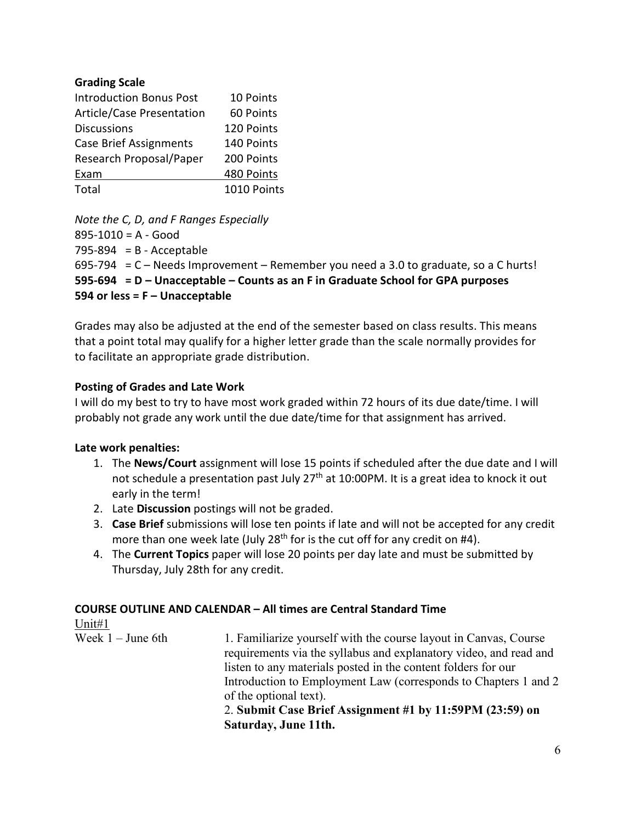#### **Grading Scale**

| <b>Introduction Bonus Post</b> | 10 Points   |
|--------------------------------|-------------|
| Article/Case Presentation      | 60 Points   |
| <b>Discussions</b>             | 120 Points  |
| <b>Case Brief Assignments</b>  | 140 Points  |
| Research Proposal/Paper        | 200 Points  |
| Exam                           | 480 Points  |
| Total                          | 1010 Points |

*Note the C, D, and F Ranges Especially*

895-1010 = A - Good  $795-894$  = B - Acceptable  $695-794$  = C – Needs Improvement – Remember you need a 3.0 to graduate, so a C hurts! **595-694 = D – Unacceptable – Counts as an F in Graduate School for GPA purposes 594 or less = F – Unacceptable** 

Grades may also be adjusted at the end of the semester based on class results. This means that a point total may qualify for a higher letter grade than the scale normally provides for to facilitate an appropriate grade distribution.

#### **Posting of Grades and Late Work**

I will do my best to try to have most work graded within 72 hours of its due date/time. I will probably not grade any work until the due date/time for that assignment has arrived.

# **Late work penalties:**

- 1. The **News/Court** assignment will lose 15 points if scheduled after the due date and I will not schedule a presentation past July 27<sup>th</sup> at 10:00PM. It is a great idea to knock it out early in the term!
- 2. Late **Discussion** postings will not be graded.
- 3. **Case Brief** submissions will lose ten points if late and will not be accepted for any credit more than one week late (July 28<sup>th</sup> for is the cut off for any credit on #4).
- 4. The **Current Topics** paper will lose 20 points per day late and must be submitted by Thursday, July 28th for any credit.

# **COURSE OUTLINE AND CALENDAR – All times are Central Standard Time**

 $\frac{\text{Unit#1}}{\text{Week 1} - \text{June 6th}}$ 1. Familiarize yourself with the course layout in Canvas, Course requirements via the syllabus and explanatory video, and read and listen to any materials posted in the content folders for our Introduction to Employment Law (corresponds to Chapters 1 and 2 of the optional text). 2. **Submit Case Brief Assignment #1 by 11:59PM (23:59) on Saturday, June 11th.**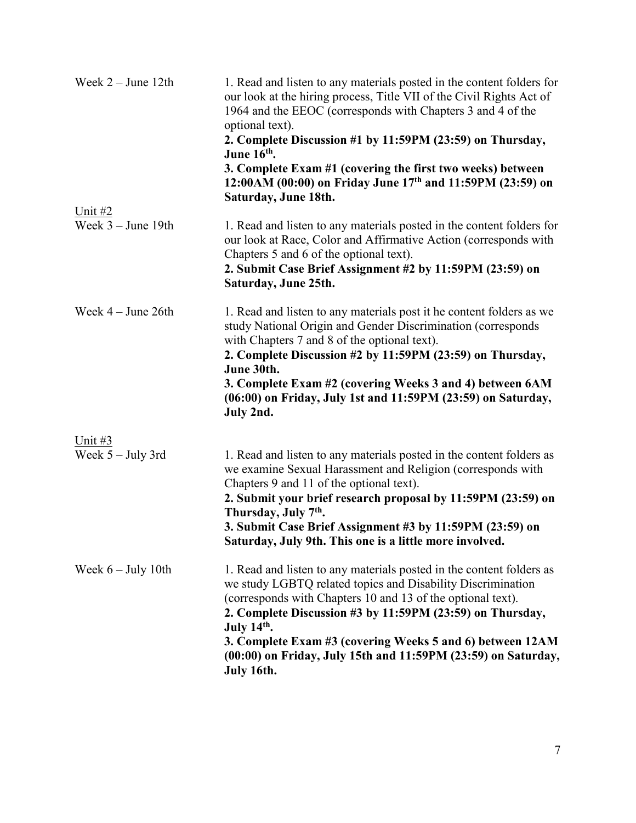| Week $2 -$ June 12th             | 1. Read and listen to any materials posted in the content folders for<br>our look at the hiring process, Title VII of the Civil Rights Act of<br>1964 and the EEOC (corresponds with Chapters 3 and 4 of the<br>optional text).<br>2. Complete Discussion #1 by 11:59PM (23:59) on Thursday,<br>June 16 <sup>th</sup> .<br>3. Complete Exam #1 (covering the first two weeks) between<br>12:00AM (00:00) on Friday June 17th and 11:59PM (23:59) on<br>Saturday, June 18th. |
|----------------------------------|-----------------------------------------------------------------------------------------------------------------------------------------------------------------------------------------------------------------------------------------------------------------------------------------------------------------------------------------------------------------------------------------------------------------------------------------------------------------------------|
| Unit #2<br>Week $3 -$ June 19th  | 1. Read and listen to any materials posted in the content folders for<br>our look at Race, Color and Affirmative Action (corresponds with<br>Chapters 5 and 6 of the optional text).<br>2. Submit Case Brief Assignment #2 by 11:59PM (23:59) on<br>Saturday, June 25th.                                                                                                                                                                                                    |
| Week $4 -$ June 26th             | 1. Read and listen to any materials post it he content folders as we<br>study National Origin and Gender Discrimination (corresponds<br>with Chapters 7 and 8 of the optional text).<br>2. Complete Discussion #2 by 11:59PM (23:59) on Thursday,<br>June 30th.<br>3. Complete Exam #2 (covering Weeks 3 and 4) between 6AM<br>(06:00) on Friday, July 1st and 11:59PM (23:59) on Saturday,<br>July 2nd.                                                                    |
| Unit $#3$<br>Week $5 -$ July 3rd | 1. Read and listen to any materials posted in the content folders as<br>we examine Sexual Harassment and Religion (corresponds with<br>Chapters 9 and 11 of the optional text).<br>2. Submit your brief research proposal by 11:59PM (23:59) on<br>Thursday, July 7 <sup>th</sup> .<br>3. Submit Case Brief Assignment #3 by 11:59PM (23:59) on<br>Saturday, July 9th. This one is a little more involved.                                                                  |
| Week $6 - July 10th$             | 1. Read and listen to any materials posted in the content folders as<br>we study LGBTQ related topics and Disability Discrimination<br>(corresponds with Chapters 10 and 13 of the optional text).<br>2. Complete Discussion #3 by 11:59PM (23:59) on Thursday,<br>July 14th.<br>3. Complete Exam #3 (covering Weeks 5 and 6) between 12AM<br>(00:00) on Friday, July 15th and 11:59PM (23:59) on Saturday,<br>July 16th.                                                   |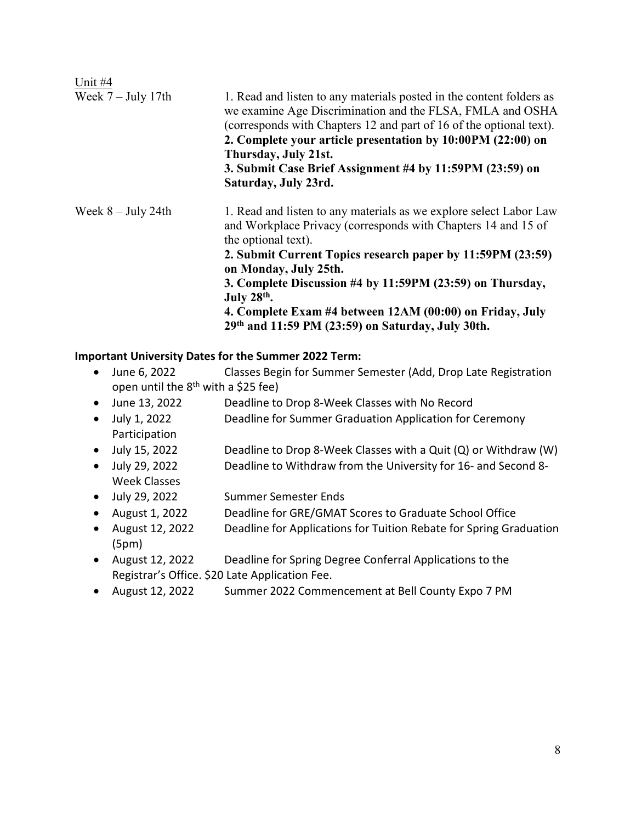| Unit #4              |                                                                                                                                                                                                                                                                                                                                                                                                                                                  |
|----------------------|--------------------------------------------------------------------------------------------------------------------------------------------------------------------------------------------------------------------------------------------------------------------------------------------------------------------------------------------------------------------------------------------------------------------------------------------------|
| Week $7 - July 17th$ | 1. Read and listen to any materials posted in the content folders as<br>we examine Age Discrimination and the FLSA, FMLA and OSHA<br>(corresponds with Chapters 12 and part of 16 of the optional text).<br>2. Complete your article presentation by 10:00PM (22:00) on<br>Thursday, July 21st.<br>3. Submit Case Brief Assignment #4 by 11:59PM (23:59) on<br>Saturday, July 23rd.                                                              |
| Week $8 -$ July 24th | 1. Read and listen to any materials as we explore select Labor Law<br>and Workplace Privacy (corresponds with Chapters 14 and 15 of<br>the optional text).<br>2. Submit Current Topics research paper by 11:59PM (23:59)<br>on Monday, July 25th.<br>3. Complete Discussion #4 by 11:59PM (23:59) on Thursday,<br>July $28th$ .<br>4. Complete Exam #4 between 12AM (00:00) on Friday, July<br>29th and 11:59 PM (23:59) on Saturday, July 30th. |

# **Important University Dates for the Summer 2022 Term:**

- June 6, 2022 Classes Begin for Summer Semester (Add, Drop Late Registration open until the  $8<sup>th</sup>$  with a \$25 fee)
- June 13, 2022 Deadline to Drop 8-Week Classes with No Record
- July 1, 2022 Deadline for Summer Graduation Application for Ceremony Participation
- July 15, 2022 Deadline to Drop 8-Week Classes with a Quit (Q) or Withdraw (W)
- July 29, 2022 Deadline to Withdraw from the University for 16- and Second 8- Week Classes
- July 29, 2022 Summer Semester Ends
- August 1, 2022 Deadline for GRE/GMAT Scores to Graduate School Office
- August 12, 2022 Deadline for Applications for Tuition Rebate for Spring Graduation (5pm)
- August 12, 2022 Deadline for Spring Degree Conferral Applications to the Registrar's Office. \$20 Late Application Fee.
- August 12, 2022 Summer 2022 Commencement at Bell County Expo 7 PM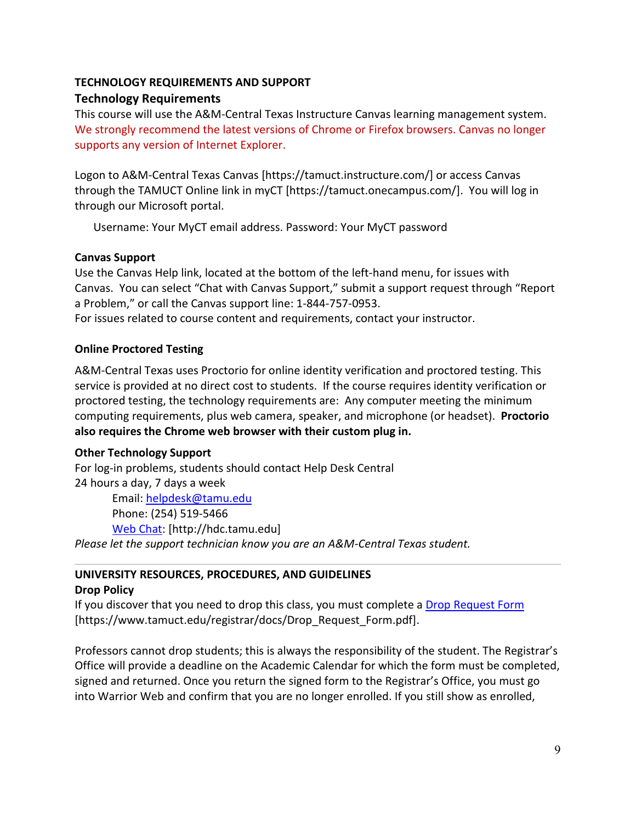# **TECHNOLOGY REQUIREMENTS AND SUPPORT Technology Requirements**

This course will use the A&M-Central Texas Instructure Canvas learning management system. We strongly recommend the latest versions of Chrome or Firefox browsers. Canvas no longer supports any version of Internet Explorer.

Logon to A&M-Central Texas Canvas [https://tamuct.instructure.com/] or access Canvas through the TAMUCT Online link in myCT [https://tamuct.onecampus.com/]. You will log in through our Microsoft portal.

Username: Your MyCT email address. Password: Your MyCT password

# **Canvas Support**

Use the Canvas Help link, located at the bottom of the left-hand menu, for issues with Canvas. You can select "Chat with Canvas Support," submit a support request through "Report a Problem," or call the Canvas support line: 1-844-757-0953.

For issues related to course content and requirements, contact your instructor.

# **Online Proctored Testing**

A&M-Central Texas uses Proctorio for online identity verification and proctored testing. This service is provided at no direct cost to students. If the course requires identity verification or proctored testing, the technology requirements are: Any computer meeting the minimum computing requirements, plus web camera, speaker, and microphone (or headset). **Proctorio also requires the Chrome web browser with their custom plug in.**

# **Other Technology Support**

For log-in problems, students should contact Help Desk Central 24 hours a day, 7 days a week Email: [helpdesk@tamu.edu](mailto:helpdesk@tamu.edu) Phone: (254) 519-5466 [Web Chat:](http://hdc.tamu.edu/) [http://hdc.tamu.edu] *Please let the support technician know you are an A&M-Central Texas student.*

# **UNIVERSITY RESOURCES, PROCEDURES, AND GUIDELINES**

# **Drop Policy**

If you discover that you need to drop this class, you must complete a [Drop Request Form](https://www.tamuct.edu/registrar/docs/Drop_Request_Form.pdf) [https://www.tamuct.edu/registrar/docs/Drop\_Request\_Form.pdf].

Professors cannot drop students; this is always the responsibility of the student. The Registrar's Office will provide a deadline on the Academic Calendar for which the form must be completed, signed and returned. Once you return the signed form to the Registrar's Office, you must go into Warrior Web and confirm that you are no longer enrolled. If you still show as enrolled,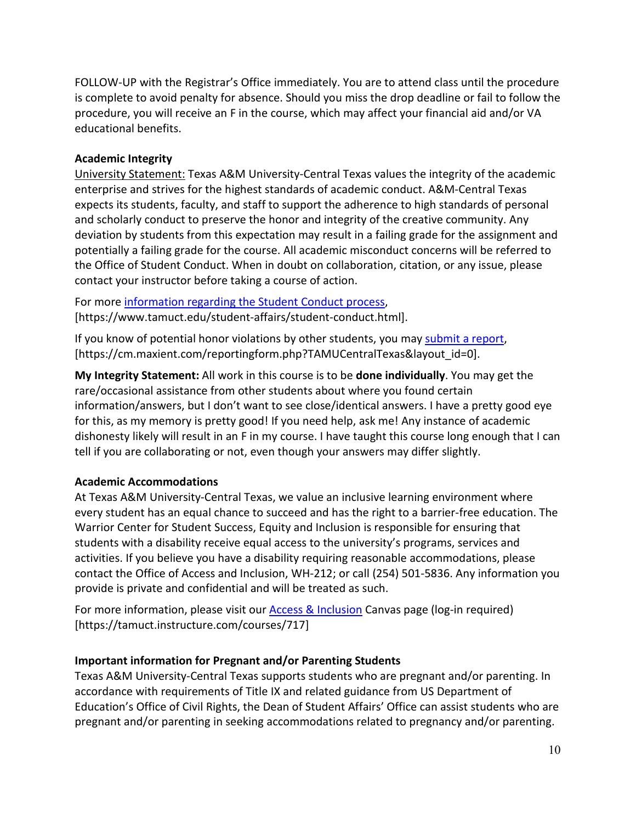FOLLOW-UP with the Registrar's Office immediately. You are to attend class until the procedure is complete to avoid penalty for absence. Should you miss the drop deadline or fail to follow the procedure, you will receive an F in the course, which may affect your financial aid and/or VA educational benefits.

#### **Academic Integrity**

University Statement: Texas A&M University-Central Texas values the integrity of the academic enterprise and strives for the highest standards of academic conduct. A&M-Central Texas expects its students, faculty, and staff to support the adherence to high standards of personal and scholarly conduct to preserve the honor and integrity of the creative community. Any deviation by students from this expectation may result in a failing grade for the assignment and potentially a failing grade for the course. All academic misconduct concerns will be referred to the Office of Student Conduct. When in doubt on collaboration, citation, or any issue, please contact your instructor before taking a course of action.

For more [information](https://nam04.safelinks.protection.outlook.com/?url=https%3A%2F%2Fwww.tamuct.edu%2Fstudent-affairs%2Fstudent-conduct.html&data=04%7C01%7Clisa.bunkowski%40tamuct.edu%7Ccfb6e486f24745f53e1a08d910055cb2%7C9eed4e3000f744849ff193ad8005acec%7C0%7C0%7C637558437485252160%7CUnknown%7CTWFpbGZsb3d8eyJWIjoiMC4wLjAwMDAiLCJQIjoiV2luMzIiLCJBTiI6Ik1haWwiLCJXVCI6Mn0%3D%7C1000&sdata=yjftDEVHvLX%2FhM%2FcFU0B99krV1RgEWR%2BJ%2BhvtoR6TYk%3D&reserved=0) regarding the Student Conduct process, [https://www.tamuct.edu/student-affairs/student-conduct.html].

If you know of potential honor violations by other students, you may [submit](https://nam04.safelinks.protection.outlook.com/?url=https%3A%2F%2Fcm.maxient.com%2Freportingform.php%3FTAMUCentralTexas%26layout_id%3D0&data=04%7C01%7Clisa.bunkowski%40tamuct.edu%7Ccfb6e486f24745f53e1a08d910055cb2%7C9eed4e3000f744849ff193ad8005acec%7C0%7C0%7C637558437485262157%7CUnknown%7CTWFpbGZsb3d8eyJWIjoiMC4wLjAwMDAiLCJQIjoiV2luMzIiLCJBTiI6Ik1haWwiLCJXVCI6Mn0%3D%7C1000&sdata=CXGkOa6uPDPX1IMZ87z3aZDq2n91xfHKu4MMS43Ejjk%3D&reserved=0) a report, [https://cm.maxient.com/reportingform.php?TAMUCentralTexas&layout\_id=0].

**My Integrity Statement:** All work in this course is to be **done individually**. You may get the rare/occasional assistance from other students about where you found certain information/answers, but I don't want to see close/identical answers. I have a pretty good eye for this, as my memory is pretty good! If you need help, ask me! Any instance of academic dishonesty likely will result in an F in my course. I have taught this course long enough that I can tell if you are collaborating or not, even though your answers may differ slightly.

# **Academic Accommodations**

At Texas A&M University-Central Texas, we value an inclusive learning environment where every student has an equal chance to succeed and has the right to a barrier-free education. The Warrior Center for Student Success, Equity and Inclusion is responsible for ensuring that students with a disability receive equal access to the university's programs, services and activities. If you believe you have a disability requiring reasonable accommodations, please contact the Office of Access and Inclusion, WH-212; or call (254) 501-5836. Any information you provide is private and confidential and will be treated as such.

For more information, please visit our **Access & Inclusion** Canvas page (log-in required) [https://tamuct.instructure.com/courses/717]

# **Important information for Pregnant and/or Parenting Students**

Texas A&M University-Central Texas supports students who are pregnant and/or parenting. In accordance with requirements of Title IX and related guidance from US Department of Education's Office of Civil Rights, the Dean of Student Affairs' Office can assist students who are pregnant and/or parenting in seeking accommodations related to pregnancy and/or parenting.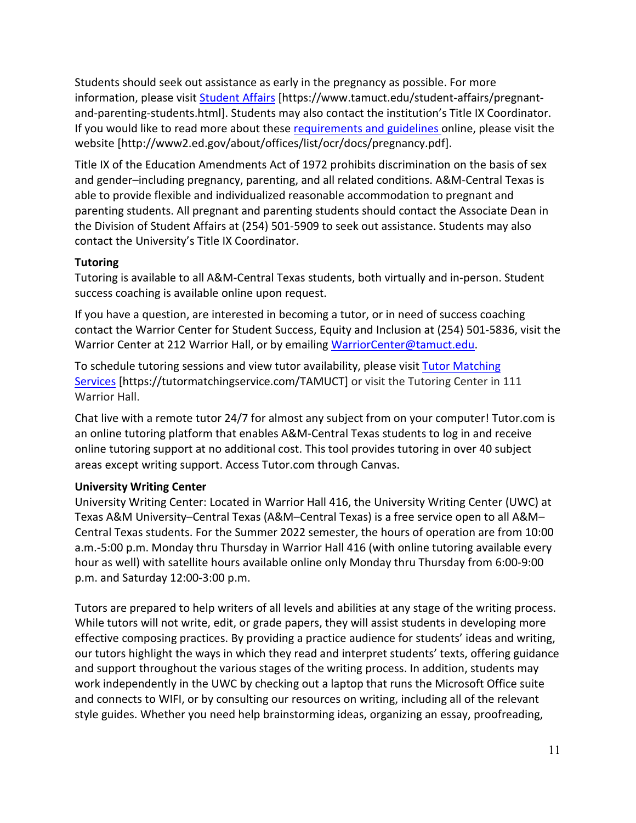Students should seek out assistance as early in the pregnancy as possible. For more information, please visit [Student Affairs](https://www.tamuct.edu/student-affairs/pregnant-and-parenting-students.html) [https://www.tamuct.edu/student-affairs/pregnantand-parenting-students.html]. Students may also contact the institution's Title IX Coordinator. If you would like to read more about thes[e requirements and guidelines](http://www2.ed.gov/about/offices/list/ocr/docs/pregnancy.pdf) online, please visit the website [http://www2.ed.gov/about/offices/list/ocr/docs/pregnancy.pdf].

Title IX of the Education Amendments Act of 1972 prohibits discrimination on the basis of sex and gender–including pregnancy, parenting, and all related conditions. A&M-Central Texas is able to provide flexible and individualized reasonable accommodation to pregnant and parenting students. All pregnant and parenting students should contact the Associate Dean in the Division of Student Affairs at (254) 501-5909 to seek out assistance. Students may also contact the University's Title IX Coordinator.

# **Tutoring**

Tutoring is available to all A&M-Central Texas students, both virtually and in-person. Student success coaching is available online upon request.

If you have a question, are interested in becoming a tutor, or in need of success coaching contact the Warrior Center for Student Success, Equity and Inclusion at (254) 501-5836, visit the Warrior Center at 212 Warrior Hall, or by emailing [WarriorCenter@tamuct.edu.](mailto:WarriorCenter@tamuct.edu)

To schedule tutoring sessions and view tutor availability, please visit Tutor [Matching](https://nam04.safelinks.protection.outlook.com/?url=http%3A%2F%2Fwww.tutormatchingservices.com%2FTAMUCT&data=04%7C01%7Clisa.bunkowski%40tamuct.edu%7C886784139069461670c308d9aa01f55e%7C9eed4e3000f744849ff193ad8005acec%7C0%7C0%7C637727747643427346%7CUnknown%7CTWFpbGZsb3d8eyJWIjoiMC4wLjAwMDAiLCJQIjoiV2luMzIiLCJBTiI6Ik1haWwiLCJXVCI6Mn0%3D%7C3000&sdata=D%2F8HN2bUT1lLPfs5qSqKYlwh8a7pZVy7isM2gppluQE%3D&reserved=0) [Services](https://nam04.safelinks.protection.outlook.com/?url=http%3A%2F%2Fwww.tutormatchingservices.com%2FTAMUCT&data=04%7C01%7Clisa.bunkowski%40tamuct.edu%7C886784139069461670c308d9aa01f55e%7C9eed4e3000f744849ff193ad8005acec%7C0%7C0%7C637727747643427346%7CUnknown%7CTWFpbGZsb3d8eyJWIjoiMC4wLjAwMDAiLCJQIjoiV2luMzIiLCJBTiI6Ik1haWwiLCJXVCI6Mn0%3D%7C3000&sdata=D%2F8HN2bUT1lLPfs5qSqKYlwh8a7pZVy7isM2gppluQE%3D&reserved=0) [https://tutormatchingservice.com/TAMUCT] or visit the Tutoring Center in 111 Warrior Hall.

Chat live with a remote tutor 24/7 for almost any subject from on your computer! Tutor.com is an online tutoring platform that enables A&M-Central Texas students to log in and receive online tutoring support at no additional cost. This tool provides tutoring in over 40 subject areas except writing support. Access Tutor.com through Canvas.

# **University Writing Center**

University Writing Center: Located in Warrior Hall 416, the University Writing Center (UWC) at Texas A&M University–Central Texas (A&M–Central Texas) is a free service open to all A&M– Central Texas students. For the Summer 2022 semester, the hours of operation are from 10:00 a.m.-5:00 p.m. Monday thru Thursday in Warrior Hall 416 (with online tutoring available every hour as well) with satellite hours available online only Monday thru Thursday from 6:00-9:00 p.m. and Saturday 12:00-3:00 p.m.

Tutors are prepared to help writers of all levels and abilities at any stage of the writing process. While tutors will not write, edit, or grade papers, they will assist students in developing more effective composing practices. By providing a practice audience for students' ideas and writing, our tutors highlight the ways in which they read and interpret students' texts, offering guidance and support throughout the various stages of the writing process. In addition, students may work independently in the UWC by checking out a laptop that runs the Microsoft Office suite and connects to WIFI, or by consulting our resources on writing, including all of the relevant style guides. Whether you need help brainstorming ideas, organizing an essay, proofreading,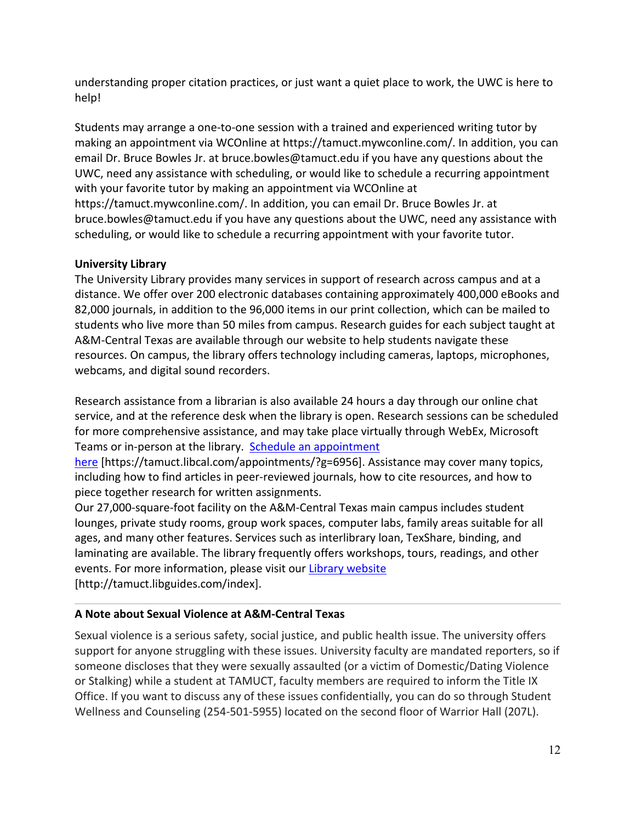understanding proper citation practices, or just want a quiet place to work, the UWC is here to help!

Students may arrange a one-to-one session with a trained and experienced writing tutor by making an appointment via WCOnline at https://tamuct.mywconline.com/. In addition, you can email Dr. Bruce Bowles Jr. at bruce.bowles@tamuct.edu if you have any questions about the UWC, need any assistance with scheduling, or would like to schedule a recurring appointment with your favorite tutor by making an appointment via WCOnline at https://tamuct.mywconline.com/. In addition, you can email Dr. Bruce Bowles Jr. at bruce.bowles@tamuct.edu if you have any questions about the UWC, need any assistance with scheduling, or would like to schedule a recurring appointment with your favorite tutor.

# **University Library**

The University Library provides many services in support of research across campus and at a distance. We offer over 200 electronic databases containing approximately 400,000 eBooks and 82,000 journals, in addition to the 96,000 items in our print collection, which can be mailed to students who live more than 50 miles from campus. Research guides for each subject taught at A&M-Central Texas are available through our website to help students navigate these resources. On campus, the library offers technology including cameras, laptops, microphones, webcams, and digital sound recorders.

Research assistance from a librarian is also available 24 hours a day through our online chat service, and at the reference desk when the library is open. Research sessions can be scheduled for more comprehensive assistance, and may take place virtually through WebEx, Microsoft Teams or in-person at the library. Schedule an [appointment](https://nam04.safelinks.protection.outlook.com/?url=https%3A%2F%2Ftamuct.libcal.com%2Fappointments%2F%3Fg%3D6956&data=04%7C01%7Clisa.bunkowski%40tamuct.edu%7Cde2c07d9f5804f09518008d9ab7ba6ff%7C9eed4e3000f744849ff193ad8005acec%7C0%7C0%7C637729369835011558%7CUnknown%7CTWFpbGZsb3d8eyJWIjoiMC4wLjAwMDAiLCJQIjoiV2luMzIiLCJBTiI6Ik1haWwiLCJXVCI6Mn0%3D%7C3000&sdata=KhtjgRSAw9aq%2FoBsB6wyu8b7PSuGN5EGPypzr3Ty2No%3D&reserved=0)

[here](https://nam04.safelinks.protection.outlook.com/?url=https%3A%2F%2Ftamuct.libcal.com%2Fappointments%2F%3Fg%3D6956&data=04%7C01%7Clisa.bunkowski%40tamuct.edu%7Cde2c07d9f5804f09518008d9ab7ba6ff%7C9eed4e3000f744849ff193ad8005acec%7C0%7C0%7C637729369835011558%7CUnknown%7CTWFpbGZsb3d8eyJWIjoiMC4wLjAwMDAiLCJQIjoiV2luMzIiLCJBTiI6Ik1haWwiLCJXVCI6Mn0%3D%7C3000&sdata=KhtjgRSAw9aq%2FoBsB6wyu8b7PSuGN5EGPypzr3Ty2No%3D&reserved=0) [https://tamuct.libcal.com/appointments/?g=6956]. Assistance may cover many topics, including how to find articles in peer-reviewed journals, how to cite resources, and how to piece together research for written assignments.

Our 27,000-square-foot facility on the A&M-Central Texas main campus includes student lounges, private study rooms, group work spaces, computer labs, family areas suitable for all ages, and many other features. Services such as interlibrary loan, TexShare, binding, and laminating are available. The library frequently offers workshops, tours, readings, and other events. For more information, please visit our Library [website](https://nam04.safelinks.protection.outlook.com/?url=https%3A%2F%2Ftamuct.libguides.com%2Findex&data=04%7C01%7Clisa.bunkowski%40tamuct.edu%7C7d8489e8839a4915335f08d916f067f2%7C9eed4e3000f744849ff193ad8005acec%7C0%7C0%7C637566044056484222%7CUnknown%7CTWFpbGZsb3d8eyJWIjoiMC4wLjAwMDAiLCJQIjoiV2luMzIiLCJBTiI6Ik1haWwiLCJXVCI6Mn0%3D%7C1000&sdata=2R755V6rcIyedGrd4Os5rkgn1PvhHKU3kUV1vBKiHFo%3D&reserved=0) [http://tamuct.libguides.com/index].

# **A Note about Sexual Violence at A&M-Central Texas**

Sexual violence is a serious safety, social justice, and public health issue. The university offers support for anyone struggling with these issues. University faculty are mandated reporters, so if someone discloses that they were sexually assaulted (or a victim of Domestic/Dating Violence or Stalking) while a student at TAMUCT, faculty members are required to inform the Title IX Office. If you want to discuss any of these issues confidentially, you can do so through Student Wellness and Counseling (254-501-5955) located on the second floor of Warrior Hall (207L).